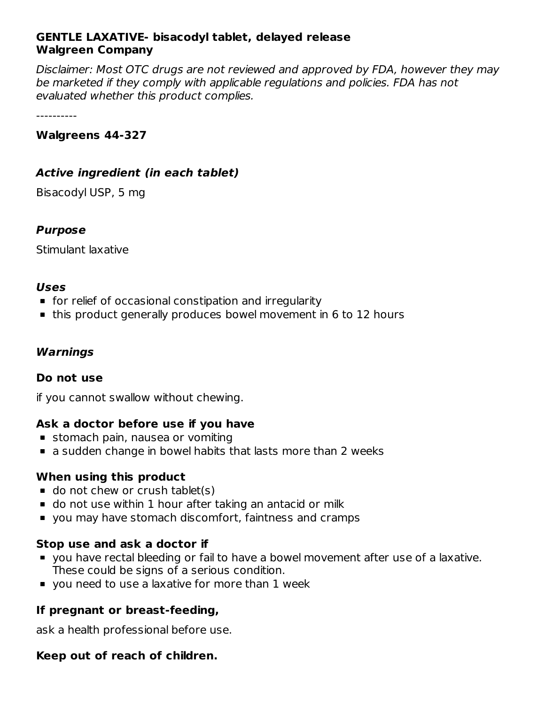# **GENTLE LAXATIVE- bisacodyl tablet, delayed release Walgreen Company**

Disclaimer: Most OTC drugs are not reviewed and approved by FDA, however they may be marketed if they comply with applicable regulations and policies. FDA has not evaluated whether this product complies.

----------

#### **Walgreens 44-327**

# **Active ingredient (in each tablet)**

Bisacodyl USP, 5 mg

# **Purpose**

Stimulant laxative

#### **Uses**

- **for relief of occasional constipation and irregularity**
- this product generally produces bowel movement in 6 to 12 hours

# **Warnings**

# **Do not use**

if you cannot swallow without chewing.

# **Ask a doctor before use if you have**

- **stomach pain, nausea or vomiting**
- a sudden change in bowel habits that lasts more than 2 weeks

# **When using this product**

- $\blacksquare$  do not chew or crush tablet(s)
- do not use within 1 hour after taking an antacid or milk
- you may have stomach discomfort, faintness and cramps

# **Stop use and ask a doctor if**

- you have rectal bleeding or fail to have a bowel movement after use of a laxative. These could be signs of a serious condition.
- **v** you need to use a laxative for more than 1 week

# **If pregnant or breast-feeding,**

ask a health professional before use.

# **Keep out of reach of children.**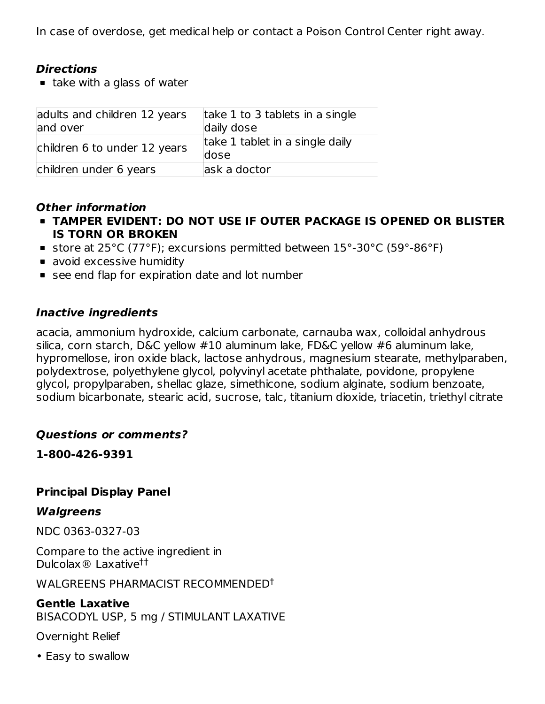In case of overdose, get medical help or contact a Poison Control Center right away.

# **Directions**

 $\blacksquare$  take with a glass of water

| adults and children 12 years<br>and over | take 1 to 3 tablets in a single<br>daily dose |
|------------------------------------------|-----------------------------------------------|
| children 6 to under 12 years             | take 1 tablet in a single daily<br>dose       |
| children under 6 years                   | ask a doctor                                  |

# **Other information**

- **TAMPER EVIDENT: DO NOT USE IF OUTER PACKAGE IS OPENED OR BLISTER IS TORN OR BROKEN**
- store at 25°C (77°F); excursions permitted between 15°-30°C (59°-86°F)
- avoid excessive humidity
- see end flap for expiration date and lot number

#### **Inactive ingredients**

acacia, ammonium hydroxide, calcium carbonate, carnauba wax, colloidal anhydrous silica, corn starch, D&C yellow #10 aluminum lake, FD&C yellow #6 aluminum lake, hypromellose, iron oxide black, lactose anhydrous, magnesium stearate, methylparaben, polydextrose, polyethylene glycol, polyvinyl acetate phthalate, povidone, propylene glycol, propylparaben, shellac glaze, simethicone, sodium alginate, sodium benzoate, sodium bicarbonate, stearic acid, sucrose, talc, titanium dioxide, triacetin, triethyl citrate

# **Questions or comments?**

**1-800-426-9391**

# **Principal Display Panel**

#### **Walgreens**

NDC 0363-0327-03

Compare to the active ingredient in Dulcolax® Laxative ††

WALGREENS PHARMACIST RECOMMENDED †

# **Gentle Laxative**

BISACODYL USP, 5 mg / STIMULANT LAXATIVE

Overnight Relief

• Easy to swallow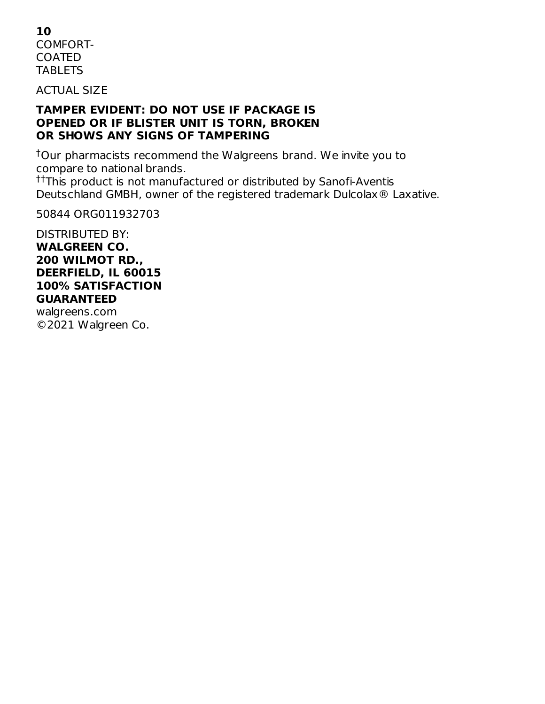**10** COMFORT-COATED **TABLETS** 

ACTUAL SIZE

#### **TAMPER EVIDENT: DO NOT USE IF PACKAGE IS OPENED OR IF BLISTER UNIT IS TORN, BROKEN OR SHOWS ANY SIGNS OF TAMPERING**

 $\dagger$ Our pharmacists recommend the Walgreens brand. We invite you to compare to national brands.

<sup>††</sup>This product is not manufactured or distributed by Sanofi-Aventis Deutschland GMBH, owner of the registered trademark Dulcolax® Laxative.

50844 ORG011932703

#### DISTRIBUTED BY: **WALGREEN CO. 200 WILMOT RD., DEERFIELD, IL 60015 100% SATISFACTION GUARANTEED**

walgreens.com ©2021 Walgreen Co.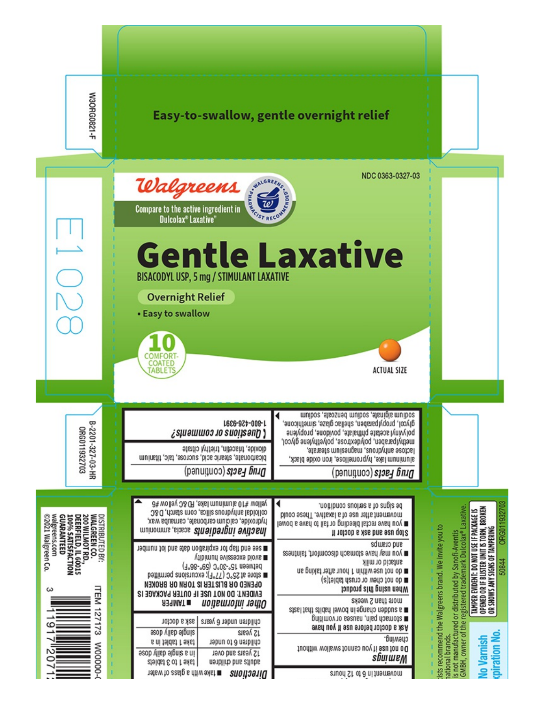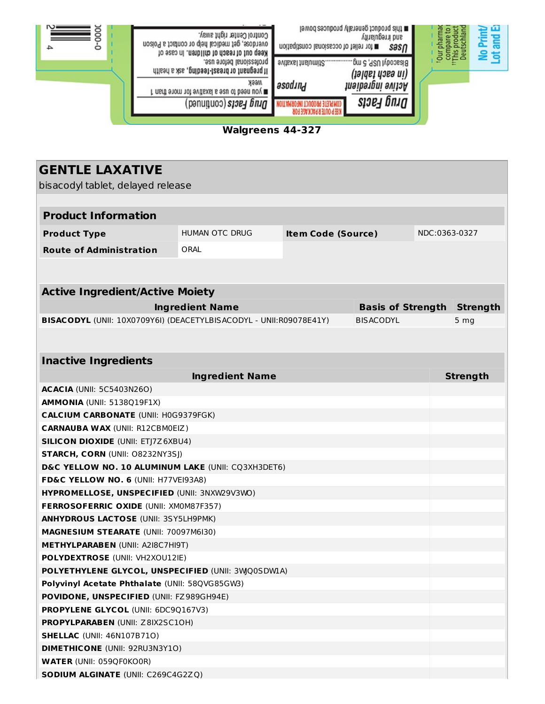

**Walgreens 44-327**

| <b>GENTLE LAXATIVE</b>                                                                        |                        |                           |                          |  |                 |  |
|-----------------------------------------------------------------------------------------------|------------------------|---------------------------|--------------------------|--|-----------------|--|
| bisacodyl tablet, delayed release                                                             |                        |                           |                          |  |                 |  |
|                                                                                               |                        |                           |                          |  |                 |  |
| <b>Product Information</b>                                                                    |                        |                           |                          |  |                 |  |
| <b>Product Type</b>                                                                           | HUMAN OTC DRUG         | <b>Item Code (Source)</b> |                          |  | NDC:0363-0327   |  |
| <b>Route of Administration</b>                                                                | ORAL                   |                           |                          |  |                 |  |
|                                                                                               |                        |                           |                          |  |                 |  |
|                                                                                               |                        |                           |                          |  |                 |  |
| <b>Active Ingredient/Active Moiety</b>                                                        |                        |                           |                          |  |                 |  |
|                                                                                               | <b>Ingredient Name</b> |                           | <b>Basis of Strength</b> |  | <b>Strength</b> |  |
| BISACODYL (UNII: 10X0709Y6I) (DEACETYLBISACODYL - UNII:R09078E41Y)                            |                        |                           | <b>BISACODYL</b>         |  | 5 <sub>mg</sub> |  |
|                                                                                               |                        |                           |                          |  |                 |  |
|                                                                                               |                        |                           |                          |  |                 |  |
| <b>Inactive Ingredients</b>                                                                   |                        |                           |                          |  |                 |  |
|                                                                                               | <b>Ingredient Name</b> |                           |                          |  | <b>Strength</b> |  |
| <b>ACACIA (UNII: 5C5403N26O)</b>                                                              |                        |                           |                          |  |                 |  |
| <b>AMMONIA (UNII: 5138Q19F1X)</b>                                                             |                        |                           |                          |  |                 |  |
| <b>CALCIUM CARBONATE (UNII: H0G9379FGK)</b>                                                   |                        |                           |                          |  |                 |  |
| <b>CARNAUBA WAX (UNII: R12CBM0EIZ)</b>                                                        |                        |                           |                          |  |                 |  |
| <b>SILICON DIOXIDE (UNII: ETJ7Z6XBU4)</b>                                                     |                        |                           |                          |  |                 |  |
| <b>STARCH, CORN (UNII: O8232NY3SJ)</b>                                                        |                        |                           |                          |  |                 |  |
| D&C YELLOW NO. 10 ALUMINUM LAKE (UNII: CQ3XH3DET6)                                            |                        |                           |                          |  |                 |  |
| FD&C YELLOW NO. 6 (UNII: H77VEI93A8)                                                          |                        |                           |                          |  |                 |  |
| HYPROMELLOSE, UNSPECIFIED (UNII: 3NXW29V3WO)                                                  |                        |                           |                          |  |                 |  |
| FERROSOFERRIC OXIDE (UNII: XM0M87F357)                                                        |                        |                           |                          |  |                 |  |
| <b>ANHYDROUS LACTOSE (UNII: 3SY5LH9PMK)</b>                                                   |                        |                           |                          |  |                 |  |
| <b>MAGNESIUM STEARATE (UNII: 70097M6I30)</b>                                                  |                        |                           |                          |  |                 |  |
| <b>METHYLPARABEN (UNII: A2I8C7HI9T)</b>                                                       |                        |                           |                          |  |                 |  |
| POLYDEXTROSE (UNII: VH2XOU12IE)                                                               |                        |                           |                          |  |                 |  |
| <b>POLYETHYLENE GLYCOL, UNSPECIFIED (UNII: 3WQ0SDWIA)</b>                                     |                        |                           |                          |  |                 |  |
| Polyvinyl Acetate Phthalate (UNII: 58QVG85GW3)                                                |                        |                           |                          |  |                 |  |
| <b>POVIDONE, UNSPECIFIED (UNII: FZ989GH94E)</b><br><b>PROPYLENE GLYCOL (UNII: 6DC9Q167V3)</b> |                        |                           |                          |  |                 |  |
| PROPYLPARABEN (UNII: Z8IX2SC1OH)                                                              |                        |                           |                          |  |                 |  |
| <b>SHELLAC</b> (UNII: 46N107B71O)                                                             |                        |                           |                          |  |                 |  |
| <b>DIMETHICONE</b> (UNII: 92RU3N3Y1O)                                                         |                        |                           |                          |  |                 |  |
| <b>WATER (UNII: 059QF0KO0R)</b>                                                               |                        |                           |                          |  |                 |  |
| <b>SODIUM ALGINATE (UNII: C269C4G2ZQ)</b>                                                     |                        |                           |                          |  |                 |  |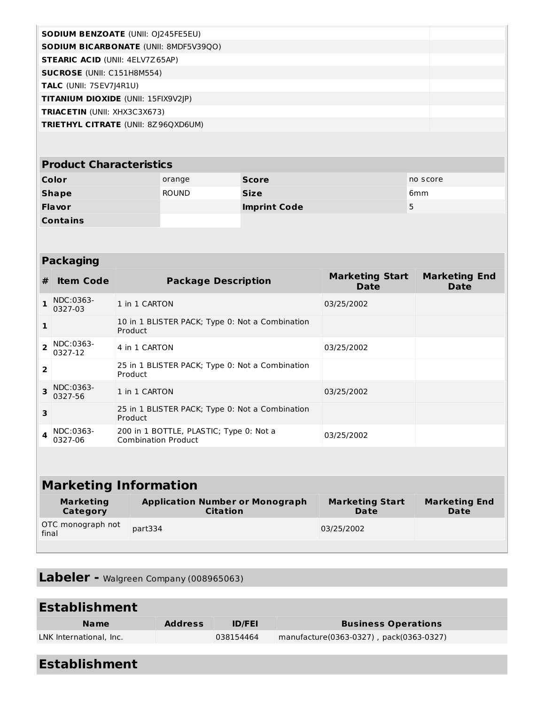| <b>SODIUM BENZOATE (UNII: OJ245FE5EU)</b>    |  |
|----------------------------------------------|--|
| <b>SODIUM BICARBONATE (UNII: 8MDF5V39QO)</b> |  |
| <b>STEARIC ACID (UNII: 4ELV7Z65AP)</b>       |  |
| <b>SUCROSE</b> (UNII: C151H8M554)            |  |
| <b>TALC</b> (UNII: 7SEV7J4R1U)               |  |
| <b>TITANIUM DIOXIDE (UNII: 15FIX9V2IP)</b>   |  |
| <b>TRIACETIN</b> (UNII: XHX3C3X673)          |  |
| <b>TRIETHYL CITRATE (UNII: 8Z96QXD6UM)</b>   |  |
|                                              |  |

#### **Product Characteristics Color Color Score Score Score Score no score Shape** ROUND **Size** 6mm **Flavor Imprint Code** 5 **Contains**

| <b>Packaging</b>        |                      |                                                                       |                                       |                              |  |
|-------------------------|----------------------|-----------------------------------------------------------------------|---------------------------------------|------------------------------|--|
| #                       | <b>Item Code</b>     | <b>Package Description</b>                                            | <b>Marketing Start</b><br><b>Date</b> | <b>Marketing End</b><br>Date |  |
| $\mathbf{1}$            | NDC:0363-<br>0327-03 | 1 in 1 CARTON                                                         | 03/25/2002                            |                              |  |
| 1                       |                      | 10 in 1 BLISTER PACK; Type 0: Not a Combination<br>Product            |                                       |                              |  |
| $\overline{\mathbf{z}}$ | NDC:0363-<br>0327-12 | 4 in 1 CARTON                                                         | 03/25/2002                            |                              |  |
| $\overline{2}$          |                      | 25 in 1 BLISTER PACK; Type 0: Not a Combination<br>Product            |                                       |                              |  |
| 3                       | NDC:0363-<br>0327-56 | 1 in 1 CARTON                                                         | 03/25/2002                            |                              |  |
| 3                       |                      | 25 in 1 BLISTER PACK; Type 0: Not a Combination<br>Product            |                                       |                              |  |
|                         | NDC:0363-<br>0327-06 | 200 in 1 BOTTLE, PLASTIC; Type 0: Not a<br><b>Combination Product</b> | 03/25/2002                            |                              |  |
|                         |                      |                                                                       |                                       |                              |  |
|                         |                      | Markating Information                                                 |                                       |                              |  |

#### **Marketing Information Marketing Category Application Number or Monograph Citation Marketing Start Date Marketing End Date** OTC monograph not final part334 03/25/2002

**Labeler -** Walgreen Company (008965063)

| <b>Establishment</b>    |                |               |                                         |  |
|-------------------------|----------------|---------------|-----------------------------------------|--|
| <b>Name</b>             | <b>Address</b> | <b>ID/FEI</b> | <b>Business Operations</b>              |  |
| LNK International, Inc. |                | 038154464     | manufacture(0363-0327), pack(0363-0327) |  |
|                         |                |               |                                         |  |

| <b>Establishment</b> |
|----------------------|
|----------------------|